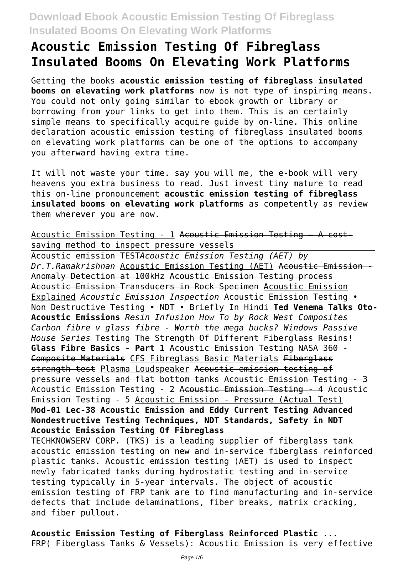# **Acoustic Emission Testing Of Fibreglass Insulated Booms On Elevating Work Platforms**

Getting the books **acoustic emission testing of fibreglass insulated booms on elevating work platforms** now is not type of inspiring means. You could not only going similar to ebook growth or library or borrowing from your links to get into them. This is an certainly simple means to specifically acquire guide by on-line. This online declaration acoustic emission testing of fibreglass insulated booms on elevating work platforms can be one of the options to accompany you afterward having extra time.

It will not waste your time. say you will me, the e-book will very heavens you extra business to read. Just invest tiny mature to read this on-line pronouncement **acoustic emission testing of fibreglass insulated booms on elevating work platforms** as competently as review them wherever you are now.

Acoustic Emission Testing - 1 Acoustic Emission Testing – A costsaving method to inspect pressure vessels

Acoustic emission TEST*Acoustic Emission Testing (AET) by Dr.T.Ramakrishnan* Acoustic Emission Testing (AET) Acoustic Emission - Anomaly Detection at 100kHz Acoustic Emission Testing process Acoustic Emission Transducers in Rock Specimen Acoustic Emission Explained *Acoustic Emission Inspection* Acoustic Emission Testing • Non Destructive Testing • NDT • Briefly In Hindi **Ted Venema Talks Oto-Acoustic Emissions** *Resin Infusion How To by Rock West Composites Carbon fibre v glass fibre - Worth the mega bucks? Windows Passive House Series* Testing The Strength Of Different Fiberglass Resins! **Glass Fibre Basics - Part 1** Acoustic Emission Testing NASA 360 - Composite Materials CFS Fibreglass Basic Materials Fiberglass strength test Plasma Loudspeaker Acoustic emission testing of pressure vessels and flat bottom tanks Acoustic Emission Testing - 3 Acoustic Emission Testing - 2 Acoustic Emission Testing - 4 Acoustic Emission Testing - 5 Acoustic Emission - Pressure (Actual Test) **Mod-01 Lec-38 Acoustic Emission and Eddy Current Testing Advanced Nondestructive Testing Techniques, NDT Standards, Safety in NDT Acoustic Emission Testing Of Fibreglass**

TECHKNOWSERV CORP. (TKS) is a leading supplier of fiberglass tank acoustic emission testing on new and in-service fiberglass reinforced plastic tanks. Acoustic emission testing (AET) is used to inspect newly fabricated tanks during hydrostatic testing and in-service testing typically in 5-year intervals. The object of acoustic emission testing of FRP tank are to find manufacturing and in-service defects that include delaminations, fiber breaks, matrix cracking, and fiber pullout.

**Acoustic Emission Testing of Fiberglass Reinforced Plastic ...** FRP( Fiberglass Tanks & Vessels): Acoustic Emission is very effective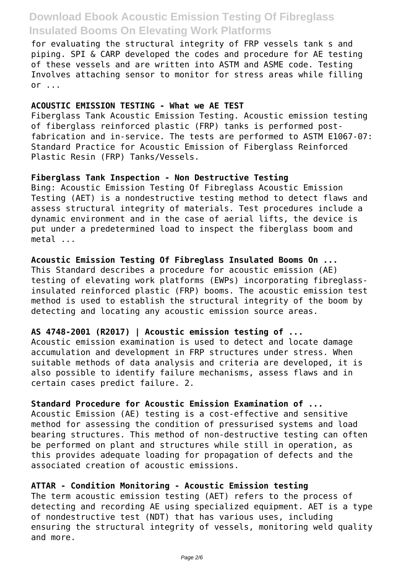for evaluating the structural integrity of FRP vessels tank s and piping. SPI & CARP developed the codes and procedure for AE testing of these vessels and are written into ASTM and ASME code. Testing Involves attaching sensor to monitor for stress areas while filling  $or \dots$ 

#### **ACOUSTIC EMISSION TESTING - What we AE TEST**

Fiberglass Tank Acoustic Emission Testing. Acoustic emission testing of fiberglass reinforced plastic (FRP) tanks is performed postfabrication and in-service. The tests are performed to ASTM E1067-07: Standard Practice for Acoustic Emission of Fiberglass Reinforced Plastic Resin (FRP) Tanks/Vessels.

#### **Fiberglass Tank Inspection - Non Destructive Testing**

Bing: Acoustic Emission Testing Of Fibreglass Acoustic Emission Testing (AET) is a nondestructive testing method to detect flaws and assess structural integrity of materials. Test procedures include a dynamic environment and in the case of aerial lifts, the device is put under a predetermined load to inspect the fiberglass boom and metal ...

### **Acoustic Emission Testing Of Fibreglass Insulated Booms On ...**

This Standard describes a procedure for acoustic emission (AE) testing of elevating work platforms (EWPs) incorporating fibreglassinsulated reinforced plastic (FRP) booms. The acoustic emission test method is used to establish the structural integrity of the boom by detecting and locating any acoustic emission source areas.

### **AS 4748-2001 (R2017) | Acoustic emission testing of ...**

Acoustic emission examination is used to detect and locate damage accumulation and development in FRP structures under stress. When suitable methods of data analysis and criteria are developed, it is also possible to identify failure mechanisms, assess flaws and in certain cases predict failure. 2.

### **Standard Procedure for Acoustic Emission Examination of ...**

Acoustic Emission (AE) testing is a cost-effective and sensitive method for assessing the condition of pressurised systems and load bearing structures. This method of non-destructive testing can often be performed on plant and structures while still in operation, as this provides adequate loading for propagation of defects and the associated creation of acoustic emissions.

### **ATTAR - Condition Monitoring - Acoustic Emission testing**

The term acoustic emission testing (AET) refers to the process of detecting and recording AE using specialized equipment. AET is a type of nondestructive test (NDT) that has various uses, including ensuring the structural integrity of vessels, monitoring weld quality and more.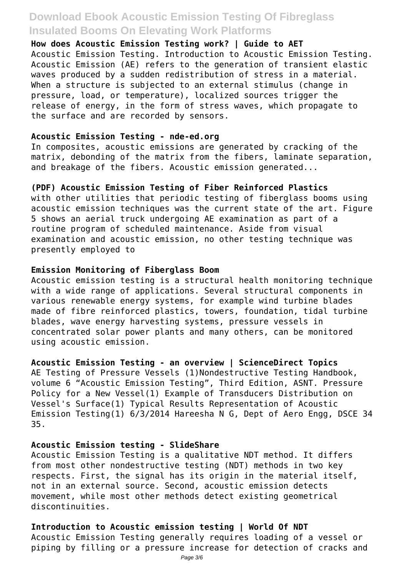**How does Acoustic Emission Testing work? | Guide to AET** Acoustic Emission Testing. Introduction to Acoustic Emission Testing. Acoustic Emission (AE) refers to the generation of transient elastic waves produced by a sudden redistribution of stress in a material. When a structure is subjected to an external stimulus (change in pressure, load, or temperature), localized sources trigger the release of energy, in the form of stress waves, which propagate to the surface and are recorded by sensors.

#### **Acoustic Emission Testing - nde-ed.org**

In composites, acoustic emissions are generated by cracking of the matrix, debonding of the matrix from the fibers, laminate separation, and breakage of the fibers. Acoustic emission generated...

#### **(PDF) Acoustic Emission Testing of Fiber Reinforced Plastics**

with other utilities that periodic testing of fiberglass booms using acoustic emission techniques was the current state of the art. Figure 5 shows an aerial truck undergoing AE examination as part of a routine program of scheduled maintenance. Aside from visual examination and acoustic emission, no other testing technique was presently employed to

#### **Emission Monitoring of Fiberglass Boom**

Acoustic emission testing is a structural health monitoring technique with a wide range of applications. Several structural components in various renewable energy systems, for example wind turbine blades made of fibre reinforced plastics, towers, foundation, tidal turbine blades, wave energy harvesting systems, pressure vessels in concentrated solar power plants and many others, can be monitored using acoustic emission.

#### **Acoustic Emission Testing - an overview | ScienceDirect Topics**

AE Testing of Pressure Vessels (1)Nondestructive Testing Handbook, volume 6 "Acoustic Emission Testing", Third Edition, ASNT. Pressure Policy for a New Vessel(1) Example of Transducers Distribution on Vessel's Surface(1) Typical Results Representation of Acoustic Emission Testing(1) 6/3/2014 Hareesha N G, Dept of Aero Engg, DSCE 34 35.

#### **Acoustic Emission testing - SlideShare**

Acoustic Emission Testing is a qualitative NDT method. It differs from most other nondestructive testing (NDT) methods in two key respects. First, the signal has its origin in the material itself, not in an external source. Second, acoustic emission detects movement, while most other methods detect existing geometrical discontinuities.

# **Introduction to Acoustic emission testing | World Of NDT**

Acoustic Emission Testing generally requires loading of a vessel or piping by filling or a pressure increase for detection of cracks and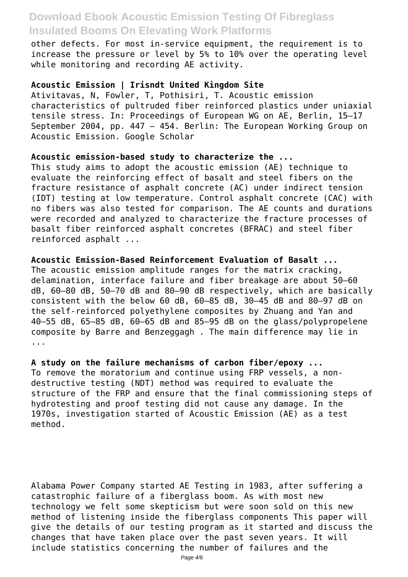other defects. For most in-service equipment, the requirement is to increase the pressure or level by 5% to 10% over the operating level while monitoring and recording AE activity.

#### **Acoustic Emission | Irisndt United Kingdom Site**

Ativitavas, N, Fowler, T, Pothisiri, T. Acoustic emission characteristics of pultruded fiber reinforced plastics under uniaxial tensile stress. In: Proceedings of European WG on AE, Berlin, 15–17 September 2004, pp. 447 – 454. Berlin: The European Working Group on Acoustic Emission. Google Scholar

#### **Acoustic emission-based study to characterize the ...**

This study aims to adopt the acoustic emission (AE) technique to evaluate the reinforcing effect of basalt and steel fibers on the fracture resistance of asphalt concrete (AC) under indirect tension (IDT) testing at low temperature. Control asphalt concrete (CAC) with no fibers was also tested for comparison. The AE counts and durations were recorded and analyzed to characterize the fracture processes of basalt fiber reinforced asphalt concretes (BFRAC) and steel fiber reinforced asphalt ...

**Acoustic Emission-Based Reinforcement Evaluation of Basalt ...** The acoustic emission amplitude ranges for the matrix cracking, delamination, interface failure and fiber breakage are about 50–60 dB, 60–80 dB, 50–70 dB and 80–90 dB respectively, which are basically consistent with the below 60 dB, 60–85 dB, 30–45 dB and 80–97 dB on the self-reinforced polyethylene composites by Zhuang and Yan and 40–55 dB, 65–85 dB, 60–65 dB and 85–95 dB on the glass/polypropelene composite by Barre and Benzeggagh . The main difference may lie in ...

**A study on the failure mechanisms of carbon fiber/epoxy ...** To remove the moratorium and continue using FRP vessels, a nondestructive testing (NDT) method was required to evaluate the structure of the FRP and ensure that the final commissioning steps of hydrotesting and proof testing did not cause any damage. In the 1970s, investigation started of Acoustic Emission (AE) as a test method.

Alabama Power Company started AE Testing in 1983, after suffering a catastrophic failure of a fiberglass boom. As with most new technology we felt some skepticism but were soon sold on this new method of listening inside the fiberglass components This paper will give the details of our testing program as it started and discuss the changes that have taken place over the past seven years. It will include statistics concerning the number of failures and the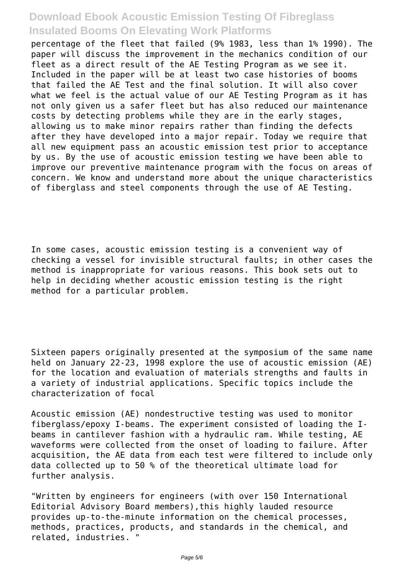percentage of the fleet that failed (9% 1983, less than 1% 1990). The paper will discuss the improvement in the mechanics condition of our fleet as a direct result of the AE Testing Program as we see it. Included in the paper will be at least two case histories of booms that failed the AE Test and the final solution. It will also cover what we feel is the actual value of our AE Testing Program as it has not only given us a safer fleet but has also reduced our maintenance costs by detecting problems while they are in the early stages, allowing us to make minor repairs rather than finding the defects after they have developed into a major repair. Today we require that all new equipment pass an acoustic emission test prior to acceptance by us. By the use of acoustic emission testing we have been able to improve our preventive maintenance program with the focus on areas of concern. We know and understand more about the unique characteristics of fiberglass and steel components through the use of AE Testing.

In some cases, acoustic emission testing is a convenient way of checking a vessel for invisible structural faults; in other cases the method is inappropriate for various reasons. This book sets out to help in deciding whether acoustic emission testing is the right method for a particular problem.

Sixteen papers originally presented at the symposium of the same name held on January 22-23, 1998 explore the use of acoustic emission (AE) for the location and evaluation of materials strengths and faults in a variety of industrial applications. Specific topics include the characterization of focal

Acoustic emission (AE) nondestructive testing was used to monitor fiberglass/epoxy I-beams. The experiment consisted of loading the Ibeams in cantilever fashion with a hydraulic ram. While testing, AE waveforms were collected from the onset of loading to failure. After acquisition, the AE data from each test were filtered to include only data collected up to 50 % of the theoretical ultimate load for further analysis.

"Written by engineers for engineers (with over 150 International Editorial Advisory Board members),this highly lauded resource provides up-to-the-minute information on the chemical processes, methods, practices, products, and standards in the chemical, and related, industries. "